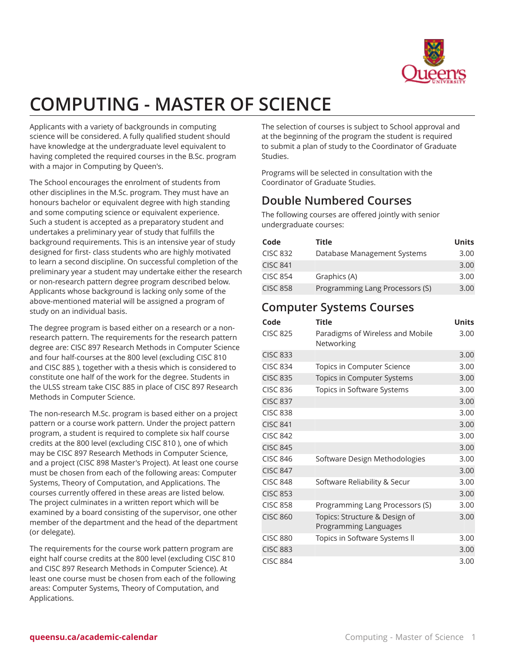

# **COMPUTING - MASTER OF SCIENCE**

Applicants with a variety of backgrounds in computing science will be considered. A fully qualified student should have knowledge at the undergraduate level equivalent to having completed the required courses in the B.Sc. program with a major in Computing by Queen's.

The School encourages the enrolment of students from other disciplines in the M.Sc. program. They must have an honours bachelor or equivalent degree with high standing and some computing science or equivalent experience. Such a student is accepted as a preparatory student and undertakes a preliminary year of study that fulfills the background requirements. This is an intensive year of study designed for first- class students who are highly motivated to learn a second discipline. On successful completion of the preliminary year a student may undertake either the research or non-research pattern degree program described below. Applicants whose background is lacking only some of the above-mentioned material will be assigned a program of study on an individual basis.

The degree program is based either on a research or a nonresearch pattern. The requirements for the research pattern degree are: CISC 897 Research Methods in Computer Science and four half-courses at the 800 level (excluding CISC 810 and CISC 885 ), together with a thesis which is considered to constitute one half of the work for the degree. Students in the ULSS stream take CISC 885 in place of CISC 897 Research Methods in Computer Science.

The non-research M.Sc. program is based either on a project pattern or a course work pattern. Under the project pattern program, a student is required to complete six half course credits at the 800 level (excluding CISC 810 ), one of which may be CISC 897 Research Methods in Computer Science, and a project (CISC 898 Master's Project). At least one course must be chosen from each of the following areas: Computer Systems, Theory of Computation, and Applications. The courses currently offered in these areas are listed below. The project culminates in a written report which will be examined by a board consisting of the supervisor, one other member of the department and the head of the department (or delegate).

The requirements for the course work pattern program are eight half course credits at the 800 level (excluding CISC 810 and CISC 897 Research Methods in Computer Science). At least one course must be chosen from each of the following areas: Computer Systems, Theory of Computation, and Applications.

The selection of courses is subject to School approval and at the beginning of the program the student is required to submit a plan of study to the Coordinator of Graduate Studies.

Programs will be selected in consultation with the Coordinator of Graduate Studies.

### **Double Numbered Courses**

The following courses are offered jointly with senior undergraduate courses:

| Code            | <b>Title</b>                    | <b>Units</b> |
|-----------------|---------------------------------|--------------|
| <b>CISC 832</b> | Database Management Systems     | 3.00         |
| <b>CISC 841</b> |                                 | 3.00         |
| <b>CISC 854</b> | Graphics (A)                    | 3.00         |
| <b>CISC 858</b> | Programming Lang Processors (S) | 3.00         |

#### **Computer Systems Courses**

| Code            | <b>Title</b>                                           | <b>Units</b> |
|-----------------|--------------------------------------------------------|--------------|
| <b>CISC 825</b> | Paradigms of Wireless and Mobile<br>Networking         | 3.00         |
| <b>CISC 833</b> |                                                        | 3.00         |
| <b>CISC 834</b> | Topics in Computer Science                             | 3.00         |
| <b>CISC 835</b> | Topics in Computer Systems                             | 3.00         |
| <b>CISC 836</b> | Topics in Software Systems                             | 3.00         |
| <b>CISC 837</b> |                                                        | 3.00         |
| <b>CISC 838</b> |                                                        | 3.00         |
| <b>CISC 841</b> |                                                        | 3.00         |
| <b>CISC 842</b> |                                                        | 3.00         |
| <b>CISC 845</b> |                                                        | 3.00         |
| <b>CISC 846</b> | Software Design Methodologies                          | 3.00         |
| <b>CISC 847</b> |                                                        | 3.00         |
| <b>CISC 848</b> | Software Reliability & Secur                           | 3.00         |
| <b>CISC 853</b> |                                                        | 3.00         |
| <b>CISC 858</b> | Programming Lang Processors (S)                        | 3.00         |
| <b>CISC 860</b> | Topics: Structure & Design of<br>Programming Languages | 3.00         |
| <b>CISC 880</b> | Topics in Software Systems II                          | 3.00         |
| <b>CISC 883</b> |                                                        | 3.00         |
| <b>CISC 884</b> |                                                        | 3.00         |